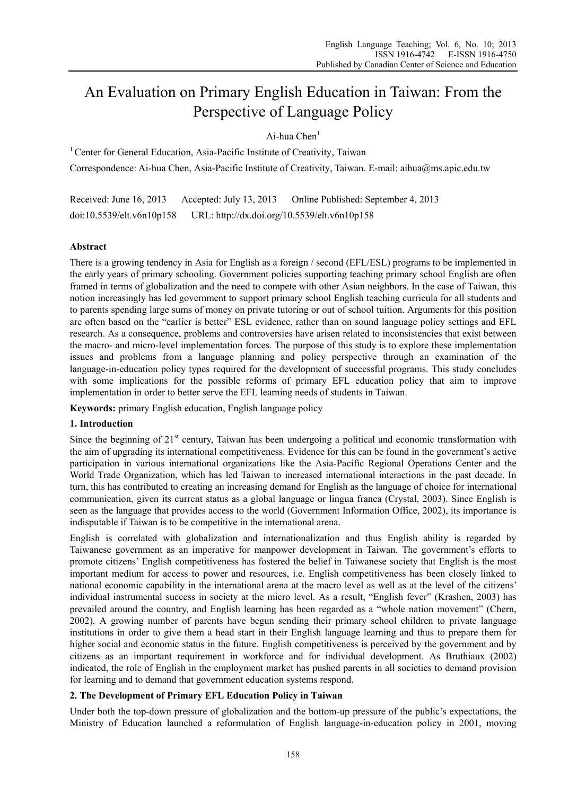# An Evaluation on Primary English Education in Taiwan: From the Perspective of Language Policy

Ai-hua  $Chen<sup>1</sup>$ 

<sup>1</sup> Center for General Education, Asia-Pacific Institute of Creativity, Taiwan Correspondence: Ai-hua Chen, Asia-Pacific Institute of Creativity, Taiwan. E-mail: aihua@ms.apic.edu.tw

Received: June 16, 2013 Accepted: July 13, 2013 Online Published: September 4, 2013 doi:10.5539/elt.v6n10p158 URL: http://dx.doi.org/10.5539/elt.v6n10p158

# **Abstract**

There is a growing tendency in Asia for English as a foreign / second (EFL/ESL) programs to be implemented in the early years of primary schooling. Government policies supporting teaching primary school English are often framed in terms of globalization and the need to compete with other Asian neighbors. In the case of Taiwan, this notion increasingly has led government to support primary school English teaching curricula for all students and to parents spending large sums of money on private tutoring or out of school tuition. Arguments for this position are often based on the "earlier is better" ESL evidence, rather than on sound language policy settings and EFL research. As a consequence, problems and controversies have arisen related to inconsistencies that exist between the macro- and micro-level implementation forces. The purpose of this study is to explore these implementation issues and problems from a language planning and policy perspective through an examination of the language-in-education policy types required for the development of successful programs. This study concludes with some implications for the possible reforms of primary EFL education policy that aim to improve implementation in order to better serve the EFL learning needs of students in Taiwan.

**Keywords:** primary English education, English language policy

# **1. Introduction**

Since the beginning of 21<sup>st</sup> century, Taiwan has been undergoing a political and economic transformation with the aim of upgrading its international competitiveness. Evidence for this can be found in the government's active participation in various international organizations like the Asia-Pacific Regional Operations Center and the World Trade Organization, which has led Taiwan to increased international interactions in the past decade. In turn, this has contributed to creating an increasing demand for English as the language of choice for international communication, given its current status as a global language or lingua franca (Crystal, 2003). Since English is seen as the language that provides access to the world (Government Information Office, 2002), its importance is indisputable if Taiwan is to be competitive in the international arena.

English is correlated with globalization and internationalization and thus English ability is regarded by Taiwanese government as an imperative for manpower development in Taiwan. The government's efforts to promote citizens' English competitiveness has fostered the belief in Taiwanese society that English is the most important medium for access to power and resources, i.e. English competitiveness has been closely linked to national economic capability in the international arena at the macro level as well as at the level of the citizens' individual instrumental success in society at the micro level. As a result, "English fever" (Krashen, 2003) has prevailed around the country, and English learning has been regarded as a "whole nation movement" (Chern, 2002). A growing number of parents have begun sending their primary school children to private language institutions in order to give them a head start in their English language learning and thus to prepare them for higher social and economic status in the future. English competitiveness is perceived by the government and by citizens as an important requirement in workforce and for individual development. As Bruthiaux (2002) indicated, the role of English in the employment market has pushed parents in all societies to demand provision for learning and to demand that government education systems respond.

# **2. The Development of Primary EFL Education Policy in Taiwan**

Under both the top-down pressure of globalization and the bottom-up pressure of the public's expectations, the Ministry of Education launched a reformulation of English language-in-education policy in 2001, moving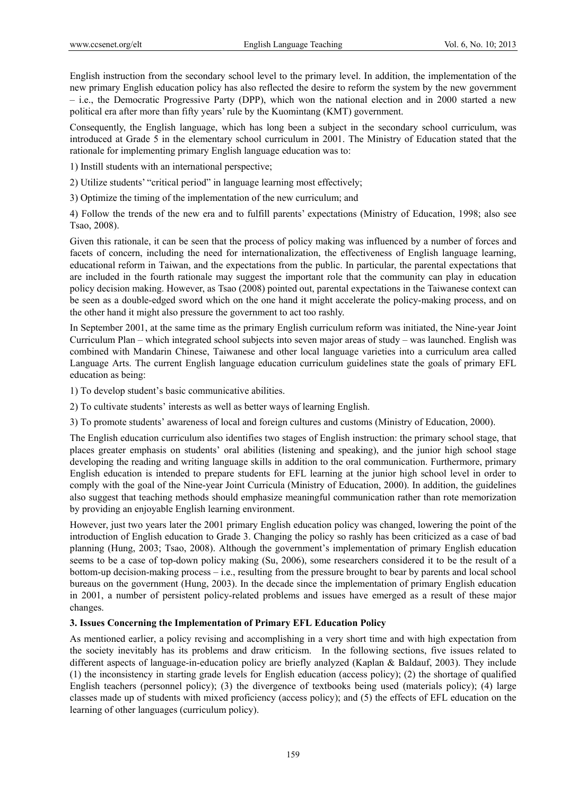English instruction from the secondary school level to the primary level. In addition, the implementation of the new primary English education policy has also reflected the desire to reform the system by the new government – i.e., the Democratic Progressive Party (DPP), which won the national election and in 2000 started a new political era after more than fifty years' rule by the Kuomintang (KMT) government.

Consequently, the English language, which has long been a subject in the secondary school curriculum, was introduced at Grade 5 in the elementary school curriculum in 2001. The Ministry of Education stated that the rationale for implementing primary English language education was to:

1) Instill students with an international perspective;

2) Utilize students' "critical period" in language learning most effectively;

3) Optimize the timing of the implementation of the new curriculum; and

4) Follow the trends of the new era and to fulfill parents' expectations (Ministry of Education, 1998; also see Tsao, 2008).

Given this rationale, it can be seen that the process of policy making was influenced by a number of forces and facets of concern, including the need for internationalization, the effectiveness of English language learning, educational reform in Taiwan, and the expectations from the public. In particular, the parental expectations that are included in the fourth rationale may suggest the important role that the community can play in education policy decision making. However, as Tsao (2008) pointed out, parental expectations in the Taiwanese context can be seen as a double-edged sword which on the one hand it might accelerate the policy-making process, and on the other hand it might also pressure the government to act too rashly.

In September 2001, at the same time as the primary English curriculum reform was initiated, the Nine-year Joint Curriculum Plan – which integrated school subjects into seven major areas of study – was launched. English was combined with Mandarin Chinese, Taiwanese and other local language varieties into a curriculum area called Language Arts. The current English language education curriculum guidelines state the goals of primary EFL education as being:

1) To develop student's basic communicative abilities.

2) To cultivate students' interests as well as better ways of learning English.

3) To promote students' awareness of local and foreign cultures and customs (Ministry of Education, 2000).

The English education curriculum also identifies two stages of English instruction: the primary school stage, that places greater emphasis on students' oral abilities (listening and speaking), and the junior high school stage developing the reading and writing language skills in addition to the oral communication. Furthermore, primary English education is intended to prepare students for EFL learning at the junior high school level in order to comply with the goal of the Nine-year Joint Curricula (Ministry of Education, 2000). In addition, the guidelines also suggest that teaching methods should emphasize meaningful communication rather than rote memorization by providing an enjoyable English learning environment.

However, just two years later the 2001 primary English education policy was changed, lowering the point of the introduction of English education to Grade 3. Changing the policy so rashly has been criticized as a case of bad planning (Hung, 2003; Tsao, 2008). Although the government's implementation of primary English education seems to be a case of top-down policy making (Su, 2006), some researchers considered it to be the result of a bottom-up decision-making process – i.e., resulting from the pressure brought to bear by parents and local school bureaus on the government (Hung, 2003). In the decade since the implementation of primary English education in 2001, a number of persistent policy-related problems and issues have emerged as a result of these major changes.

#### **3. Issues Concerning the Implementation of Primary EFL Education Policy**

As mentioned earlier, a policy revising and accomplishing in a very short time and with high expectation from the society inevitably has its problems and draw criticism. In the following sections, five issues related to different aspects of language-in-education policy are briefly analyzed (Kaplan & Baldauf, 2003). They include (1) the inconsistency in starting grade levels for English education (access policy); (2) the shortage of qualified English teachers (personnel policy); (3) the divergence of textbooks being used (materials policy); (4) large classes made up of students with mixed proficiency (access policy); and (5) the effects of EFL education on the learning of other languages (curriculum policy).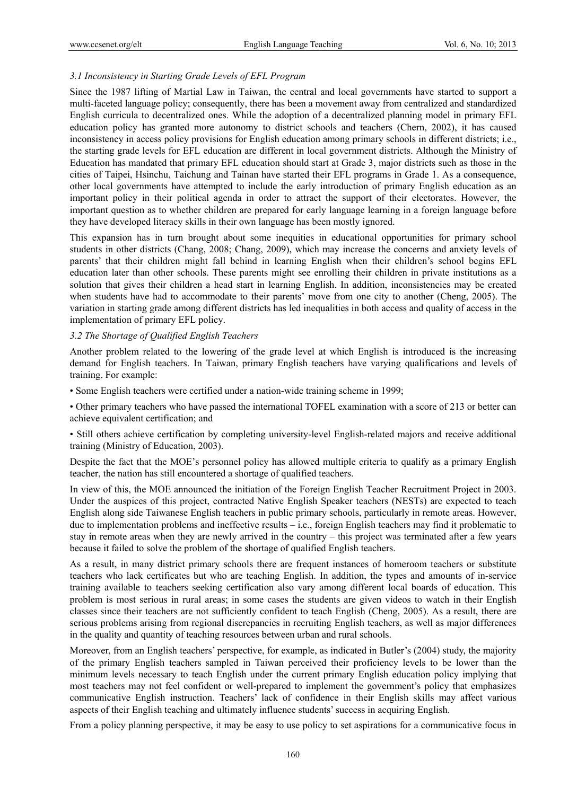## *3.1 Inconsistency in Starting Grade Levels of EFL Program*

Since the 1987 lifting of Martial Law in Taiwan, the central and local governments have started to support a multi-faceted language policy; consequently, there has been a movement away from centralized and standardized English curricula to decentralized ones. While the adoption of a decentralized planning model in primary EFL education policy has granted more autonomy to district schools and teachers (Chern, 2002), it has caused inconsistency in access policy provisions for English education among primary schools in different districts; i.e., the starting grade levels for EFL education are different in local government districts. Although the Ministry of Education has mandated that primary EFL education should start at Grade 3, major districts such as those in the cities of Taipei, Hsinchu, Taichung and Tainan have started their EFL programs in Grade 1. As a consequence, other local governments have attempted to include the early introduction of primary English education as an important policy in their political agenda in order to attract the support of their electorates. However, the important question as to whether children are prepared for early language learning in a foreign language before they have developed literacy skills in their own language has been mostly ignored.

This expansion has in turn brought about some inequities in educational opportunities for primary school students in other districts (Chang, 2008; Chang, 2009), which may increase the concerns and anxiety levels of parents' that their children might fall behind in learning English when their children's school begins EFL education later than other schools. These parents might see enrolling their children in private institutions as a solution that gives their children a head start in learning English. In addition, inconsistencies may be created when students have had to accommodate to their parents' move from one city to another (Cheng, 2005). The variation in starting grade among different districts has led inequalities in both access and quality of access in the implementation of primary EFL policy.

## *3.2 The Shortage of Qualified English Teachers*

Another problem related to the lowering of the grade level at which English is introduced is the increasing demand for English teachers. In Taiwan, primary English teachers have varying qualifications and levels of training. For example:

• Some English teachers were certified under a nation-wide training scheme in 1999;

• Other primary teachers who have passed the international TOFEL examination with a score of 213 or better can achieve equivalent certification; and

• Still others achieve certification by completing university-level English-related majors and receive additional training (Ministry of Education, 2003).

Despite the fact that the MOE's personnel policy has allowed multiple criteria to qualify as a primary English teacher, the nation has still encountered a shortage of qualified teachers.

In view of this, the MOE announced the initiation of the Foreign English Teacher Recruitment Project in 2003. Under the auspices of this project, contracted Native English Speaker teachers (NESTs) are expected to teach English along side Taiwanese English teachers in public primary schools, particularly in remote areas. However, due to implementation problems and ineffective results – i.e., foreign English teachers may find it problematic to stay in remote areas when they are newly arrived in the country – this project was terminated after a few years because it failed to solve the problem of the shortage of qualified English teachers.

As a result, in many district primary schools there are frequent instances of homeroom teachers or substitute teachers who lack certificates but who are teaching English. In addition, the types and amounts of in-service training available to teachers seeking certification also vary among different local boards of education. This problem is most serious in rural areas; in some cases the students are given videos to watch in their English classes since their teachers are not sufficiently confident to teach English (Cheng, 2005). As a result, there are serious problems arising from regional discrepancies in recruiting English teachers, as well as major differences in the quality and quantity of teaching resources between urban and rural schools.

Moreover, from an English teachers' perspective, for example, as indicated in Butler's (2004) study, the majority of the primary English teachers sampled in Taiwan perceived their proficiency levels to be lower than the minimum levels necessary to teach English under the current primary English education policy implying that most teachers may not feel confident or well-prepared to implement the government's policy that emphasizes communicative English instruction. Teachers' lack of confidence in their English skills may affect various aspects of their English teaching and ultimately influence students' success in acquiring English.

From a policy planning perspective, it may be easy to use policy to set aspirations for a communicative focus in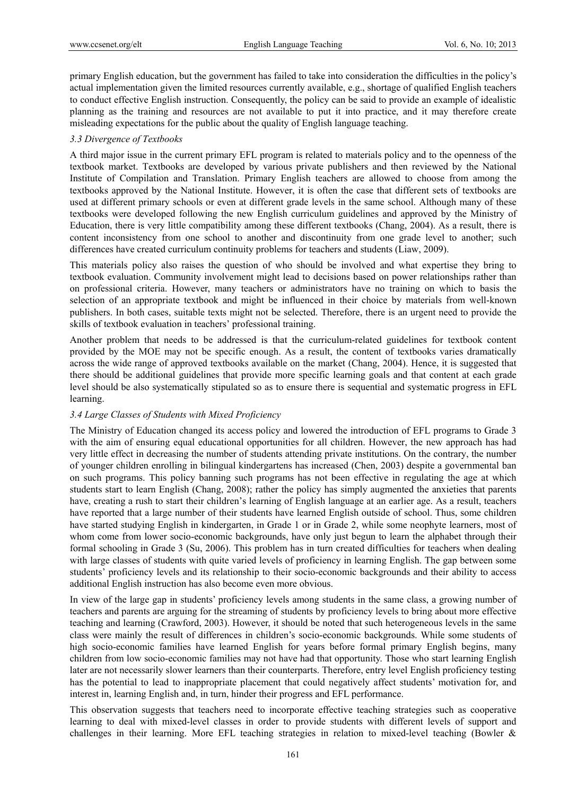primary English education, but the government has failed to take into consideration the difficulties in the policy's actual implementation given the limited resources currently available, e.g., shortage of qualified English teachers to conduct effective English instruction. Consequently, the policy can be said to provide an example of idealistic planning as the training and resources are not available to put it into practice, and it may therefore create misleading expectations for the public about the quality of English language teaching.

#### *3.3 Divergence of Textbooks*

A third major issue in the current primary EFL program is related to materials policy and to the openness of the textbook market. Textbooks are developed by various private publishers and then reviewed by the National Institute of Compilation and Translation. Primary English teachers are allowed to choose from among the textbooks approved by the National Institute. However, it is often the case that different sets of textbooks are used at different primary schools or even at different grade levels in the same school. Although many of these textbooks were developed following the new English curriculum guidelines and approved by the Ministry of Education, there is very little compatibility among these different textbooks (Chang, 2004). As a result, there is content inconsistency from one school to another and discontinuity from one grade level to another; such differences have created curriculum continuity problems for teachers and students (Liaw, 2009).

This materials policy also raises the question of who should be involved and what expertise they bring to textbook evaluation. Community involvement might lead to decisions based on power relationships rather than on professional criteria. However, many teachers or administrators have no training on which to basis the selection of an appropriate textbook and might be influenced in their choice by materials from well-known publishers. In both cases, suitable texts might not be selected. Therefore, there is an urgent need to provide the skills of textbook evaluation in teachers' professional training.

Another problem that needs to be addressed is that the curriculum-related guidelines for textbook content provided by the MOE may not be specific enough. As a result, the content of textbooks varies dramatically across the wide range of approved textbooks available on the market (Chang, 2004). Hence, it is suggested that there should be additional guidelines that provide more specific learning goals and that content at each grade level should be also systematically stipulated so as to ensure there is sequential and systematic progress in EFL learning.

## *3.4 Large Classes of Students with Mixed Proficiency*

The Ministry of Education changed its access policy and lowered the introduction of EFL programs to Grade 3 with the aim of ensuring equal educational opportunities for all children. However, the new approach has had very little effect in decreasing the number of students attending private institutions. On the contrary, the number of younger children enrolling in bilingual kindergartens has increased (Chen, 2003) despite a governmental ban on such programs. This policy banning such programs has not been effective in regulating the age at which students start to learn English (Chang, 2008); rather the policy has simply augmented the anxieties that parents have, creating a rush to start their children's learning of English language at an earlier age. As a result, teachers have reported that a large number of their students have learned English outside of school. Thus, some children have started studying English in kindergarten, in Grade 1 or in Grade 2, while some neophyte learners, most of whom come from lower socio-economic backgrounds, have only just begun to learn the alphabet through their formal schooling in Grade 3 (Su, 2006). This problem has in turn created difficulties for teachers when dealing with large classes of students with quite varied levels of proficiency in learning English. The gap between some students' proficiency levels and its relationship to their socio-economic backgrounds and their ability to access additional English instruction has also become even more obvious.

In view of the large gap in students' proficiency levels among students in the same class, a growing number of teachers and parents are arguing for the streaming of students by proficiency levels to bring about more effective teaching and learning (Crawford, 2003). However, it should be noted that such heterogeneous levels in the same class were mainly the result of differences in children's socio-economic backgrounds. While some students of high socio-economic families have learned English for years before formal primary English begins, many children from low socio-economic families may not have had that opportunity. Those who start learning English later are not necessarily slower learners than their counterparts. Therefore, entry level English proficiency testing has the potential to lead to inappropriate placement that could negatively affect students' motivation for, and interest in, learning English and, in turn, hinder their progress and EFL performance.

This observation suggests that teachers need to incorporate effective teaching strategies such as cooperative learning to deal with mixed-level classes in order to provide students with different levels of support and challenges in their learning. More EFL teaching strategies in relation to mixed-level teaching (Bowler &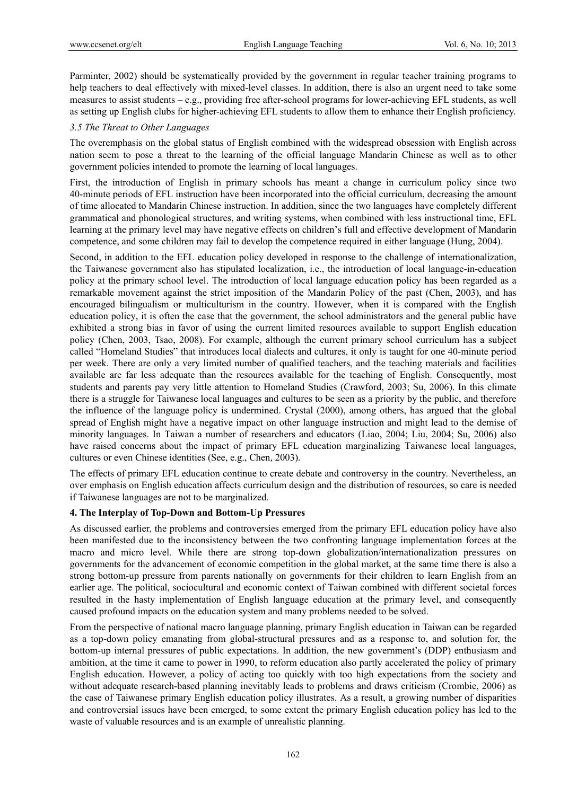Parminter, 2002) should be systematically provided by the government in regular teacher training programs to help teachers to deal effectively with mixed-level classes. In addition, there is also an urgent need to take some measures to assist students – e.g., providing free after-school programs for lower-achieving EFL students, as well as setting up English clubs for higher-achieving EFL students to allow them to enhance their English proficiency.

#### *3.5 The Threat to Other Languages*

The overemphasis on the global status of English combined with the widespread obsession with English across nation seem to pose a threat to the learning of the official language Mandarin Chinese as well as to other government policies intended to promote the learning of local languages.

First, the introduction of English in primary schools has meant a change in curriculum policy since two 40-minute periods of EFL instruction have been incorporated into the official curriculum, decreasing the amount of time allocated to Mandarin Chinese instruction. In addition, since the two languages have completely different grammatical and phonological structures, and writing systems, when combined with less instructional time, EFL learning at the primary level may have negative effects on children's full and effective development of Mandarin competence, and some children may fail to develop the competence required in either language (Hung, 2004).

Second, in addition to the EFL education policy developed in response to the challenge of internationalization, the Taiwanese government also has stipulated localization, i.e., the introduction of local language-in-education policy at the primary school level. The introduction of local language education policy has been regarded as a remarkable movement against the strict imposition of the Mandarin Policy of the past (Chen, 2003), and has encouraged bilingualism or multiculturism in the country. However, when it is compared with the English education policy, it is often the case that the government, the school administrators and the general public have exhibited a strong bias in favor of using the current limited resources available to support English education policy (Chen, 2003, Tsao, 2008). For example, although the current primary school curriculum has a subject called "Homeland Studies" that introduces local dialects and cultures, it only is taught for one 40-minute period per week. There are only a very limited number of qualified teachers, and the teaching materials and facilities available are far less adequate than the resources available for the teaching of English. Consequently, most students and parents pay very little attention to Homeland Studies (Crawford, 2003; Su, 2006). In this climate there is a struggle for Taiwanese local languages and cultures to be seen as a priority by the public, and therefore the influence of the language policy is undermined. Crystal (2000), among others, has argued that the global spread of English might have a negative impact on other language instruction and might lead to the demise of minority languages. In Taiwan a number of researchers and educators (Liao, 2004; Liu, 2004; Su, 2006) also have raised concerns about the impact of primary EFL education marginalizing Taiwanese local languages, cultures or even Chinese identities (See, e.g., Chen, 2003).

The effects of primary EFL education continue to create debate and controversy in the country. Nevertheless, an over emphasis on English education affects curriculum design and the distribution of resources, so care is needed if Taiwanese languages are not to be marginalized.

## **4. The Interplay of Top-Down and Bottom-Up Pressures**

As discussed earlier, the problems and controversies emerged from the primary EFL education policy have also been manifested due to the inconsistency between the two confronting language implementation forces at the macro and micro level. While there are strong top-down globalization/internationalization pressures on governments for the advancement of economic competition in the global market, at the same time there is also a strong bottom-up pressure from parents nationally on governments for their children to learn English from an earlier age. The political, sociocultural and economic context of Taiwan combined with different societal forces resulted in the hasty implementation of English language education at the primary level, and consequently caused profound impacts on the education system and many problems needed to be solved.

From the perspective of national macro language planning, primary English education in Taiwan can be regarded as a top-down policy emanating from global-structural pressures and as a response to, and solution for, the bottom-up internal pressures of public expectations. In addition, the new government's (DDP) enthusiasm and ambition, at the time it came to power in 1990, to reform education also partly accelerated the policy of primary English education. However, a policy of acting too quickly with too high expectations from the society and without adequate research-based planning inevitably leads to problems and draws criticism (Crombie, 2006) as the case of Taiwanese primary English education policy illustrates. As a result, a growing number of disparities and controversial issues have been emerged, to some extent the primary English education policy has led to the waste of valuable resources and is an example of unrealistic planning.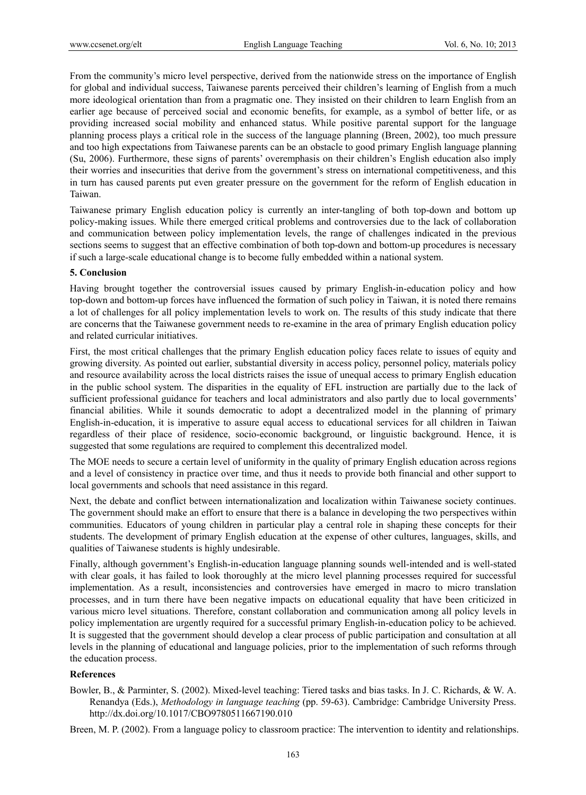From the community's micro level perspective, derived from the nationwide stress on the importance of English for global and individual success, Taiwanese parents perceived their children's learning of English from a much more ideological orientation than from a pragmatic one. They insisted on their children to learn English from an earlier age because of perceived social and economic benefits, for example, as a symbol of better life, or as providing increased social mobility and enhanced status. While positive parental support for the language planning process plays a critical role in the success of the language planning (Breen, 2002), too much pressure and too high expectations from Taiwanese parents can be an obstacle to good primary English language planning (Su, 2006). Furthermore, these signs of parents' overemphasis on their children's English education also imply their worries and insecurities that derive from the government's stress on international competitiveness, and this in turn has caused parents put even greater pressure on the government for the reform of English education in Taiwan.

Taiwanese primary English education policy is currently an inter-tangling of both top-down and bottom up policy-making issues. While there emerged critical problems and controversies due to the lack of collaboration and communication between policy implementation levels, the range of challenges indicated in the previous sections seems to suggest that an effective combination of both top-down and bottom-up procedures is necessary if such a large-scale educational change is to become fully embedded within a national system.

#### **5. Conclusion**

Having brought together the controversial issues caused by primary English-in-education policy and how top-down and bottom-up forces have influenced the formation of such policy in Taiwan, it is noted there remains a lot of challenges for all policy implementation levels to work on. The results of this study indicate that there are concerns that the Taiwanese government needs to re-examine in the area of primary English education policy and related curricular initiatives.

First, the most critical challenges that the primary English education policy faces relate to issues of equity and growing diversity. As pointed out earlier, substantial diversity in access policy, personnel policy, materials policy and resource availability across the local districts raises the issue of unequal access to primary English education in the public school system. The disparities in the equality of EFL instruction are partially due to the lack of sufficient professional guidance for teachers and local administrators and also partly due to local governments' financial abilities. While it sounds democratic to adopt a decentralized model in the planning of primary English-in-education, it is imperative to assure equal access to educational services for all children in Taiwan regardless of their place of residence, socio-economic background, or linguistic background. Hence, it is suggested that some regulations are required to complement this decentralized model.

The MOE needs to secure a certain level of uniformity in the quality of primary English education across regions and a level of consistency in practice over time, and thus it needs to provide both financial and other support to local governments and schools that need assistance in this regard.

Next, the debate and conflict between internationalization and localization within Taiwanese society continues. The government should make an effort to ensure that there is a balance in developing the two perspectives within communities. Educators of young children in particular play a central role in shaping these concepts for their students. The development of primary English education at the expense of other cultures, languages, skills, and qualities of Taiwanese students is highly undesirable.

Finally, although government's English-in-education language planning sounds well-intended and is well-stated with clear goals, it has failed to look thoroughly at the micro level planning processes required for successful implementation. As a result, inconsistencies and controversies have emerged in macro to micro translation processes, and in turn there have been negative impacts on educational equality that have been criticized in various micro level situations. Therefore, constant collaboration and communication among all policy levels in policy implementation are urgently required for a successful primary English-in-education policy to be achieved. It is suggested that the government should develop a clear process of public participation and consultation at all levels in the planning of educational and language policies, prior to the implementation of such reforms through the education process.

## **References**

Bowler, B., & Parminter, S. (2002). Mixed-level teaching: Tiered tasks and bias tasks. In J. C. Richards, & W. A. Renandya (Eds.), *Methodology in language teaching* (pp. 59-63). Cambridge: Cambridge University Press. http://dx.doi.org/10.1017/CBO9780511667190.010

Breen, M. P. (2002). From a language policy to classroom practice: The intervention to identity and relationships.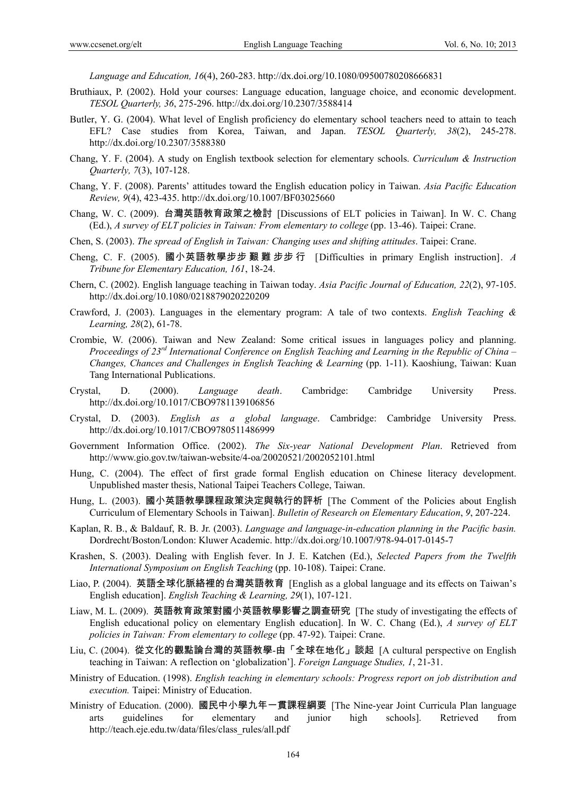*Language and Education, 16*(4), 260-283. http://dx.doi.org/10.1080/09500780208666831

- Bruthiaux, P. (2002). Hold your courses: Language education, language choice, and economic development. *TESOL Quarterly, 36*, 275-296. http://dx.doi.org/10.2307/3588414
- Butler, Y. G. (2004). What level of English proficiency do elementary school teachers need to attain to teach EFL? Case studies from Korea, Taiwan, and Japan. *TESOL Quarterly, 38*(2), 245-278. http://dx.doi.org/10.2307/3588380
- Chang, Y. F. (2004). A study on English textbook selection for elementary schools. *Curriculum & Instruction Quarterly, 7*(3), 107-128.
- Chang, Y. F. (2008). Parents' attitudes toward the English education policy in Taiwan. *Asia Pacific Education Review, 9*(4), 423-435. http://dx.doi.org/10.1007/BF03025660
- Chang, W. C. (2009). 台灣英語教育政策之檢討 [Discussions of ELT policies in Taiwan]. In W. C. Chang (Ed.), *A survey of ELT policies in Taiwan: From elementary to college* (pp. 13-46). Taipei: Crane.
- Chen, S. (2003). *The spread of English in Taiwan: Changing uses and shifting attitudes*. Taipei: Crane.
- Cheng, C. F. (2005). 國小英語教學步步 艱 難 步步 行 [Difficulties in primary English instruction]. *A Tribune for Elementary Education, 161*, 18-24.
- Chern, C. (2002). English language teaching in Taiwan today. *Asia Pacific Journal of Education, 22*(2), 97-105. http://dx.doi.org/10.1080/0218879020220209
- Crawford, J. (2003). Languages in the elementary program: A tale of two contexts. *English Teaching & Learning, 28*(2), 61-78.
- Crombie, W. (2006). Taiwan and New Zealand: Some critical issues in languages policy and planning. *Proceedings of 23rd International Conference on English Teaching and Learning in the Republic of China – Changes, Chances and Challenges in English Teaching & Learning (pp. 1-11). Kaoshiung, Taiwan: Kuan* Tang International Publications.
- Crystal, D. (2000). *Language death*. Cambridge: Cambridge University Press. http://dx.doi.org/10.1017/CBO9781139106856
- Crystal, D. (2003). *English as a global language*. Cambridge: Cambridge University Press. http://dx.doi.org/10.1017/CBO9780511486999
- Government Information Office. (2002). *The Six-year National Development Plan*. Retrieved from http://www.gio.gov.tw/taiwan-website/4-oa/20020521/2002052101.html
- Hung, C. (2004). The effect of first grade formal English education on Chinese literacy development. Unpublished master thesis, National Taipei Teachers College, Taiwan.
- Hung, L. (2003). 國小英語教學課程政策決定與執行的評析 [The Comment of the Policies about English Curriculum of Elementary Schools in Taiwan]. *Bulletin of Research on Elementary Education*, *9*, 207-224.
- Kaplan, R. B., & Baldauf, R. B. Jr. (2003). *Language and language-in-education planning in the Pacific basin.*  Dordrecht/Boston/London: Kluwer Academic. http://dx.doi.org/10.1007/978-94-017-0145-7
- Krashen, S. (2003). Dealing with English fever. In J. E. Katchen (Ed.), *Selected Papers from the Twelfth International Symposium on English Teaching* (pp. 10-108). Taipei: Crane.
- Liao, P. (2004). 英語全球化脈絡裡的台灣英語教育 [English as a global language and its effects on Taiwan's English education]. *English Teaching & Learning, 29*(1), 107-121.
- Liaw, M. L. (2009). 英語教育政策對國小英語教學影響之調查研究 [The study of investigating the effects of English educational policy on elementary English education]. In W. C. Chang (Ed.), *A survey of ELT policies in Taiwan: From elementary to college* (pp. 47-92). Taipei: Crane.
- Liu, C. (2004). 從文化的觀點論台灣的英語教學-由「全球在地化」談起 [A cultural perspective on English teaching in Taiwan: A reflection on 'globalization']. *Foreign Language Studies, 1*, 21-31.
- Ministry of Education. (1998). *English teaching in elementary schools: Progress report on job distribution and execution.* Taipei: Ministry of Education.
- Ministry of Education. (2000). 國民中小學九年一貫課程綱要 [The Nine-year Joint Curricula Plan language arts guidelines for elementary and junior high schools]. Retrieved from http://teach.eje.edu.tw/data/files/class\_rules/all.pdf